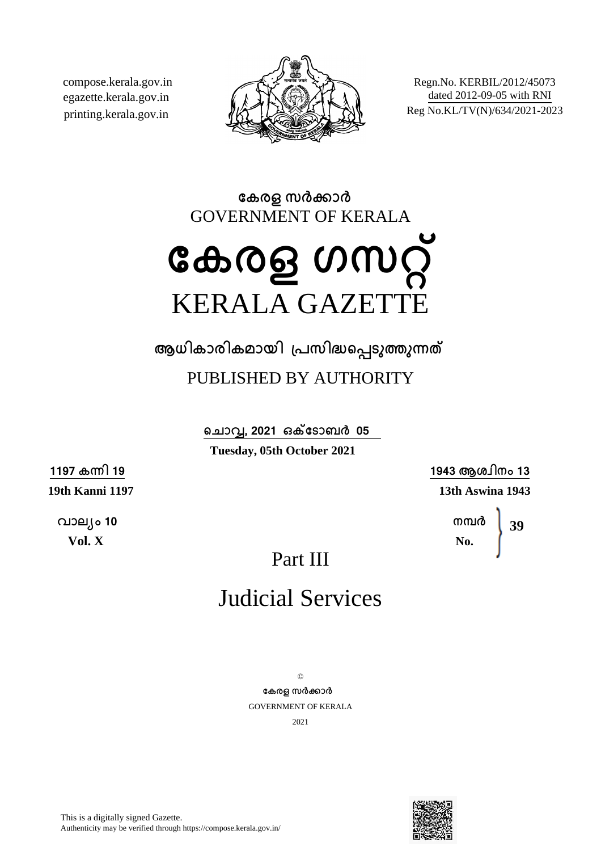compose.kerala.gov.in egazette.kerala.gov.in printing.kerala.gov.in



Regn.No. KERBIL/2012/45073 dated 2012-09-05 with RNI Reg No.KL/TV(N)/634/2021-2023

**േകരള സരകാര** GOVERNMENT OF KERALA

# **േകരള ഗസറ്** KERALA GAZETTE

**ആധികാരികമായി ്പസിദെപടുതുനത** PUBLISHED BY AUTHORITY

> **െചാവ, 2021 ഒകേടാബര 05 Tuesday, 05th October 2021**

> > **1943 ആശ്ിനം 13 13th Aswina 1943**

> > > **നമര No. 39**

Part III

## Judicial Services

 $\odot$ **േകരള സരകാര** GOVERNMENT OF KERALA 2021



This is a digitally signed Gazette. Authenticity may be verified through https://compose.kerala.gov.in/

**1197 കനി 19 19th Kanni 1197**

**വാല്ം 10 Vol. X**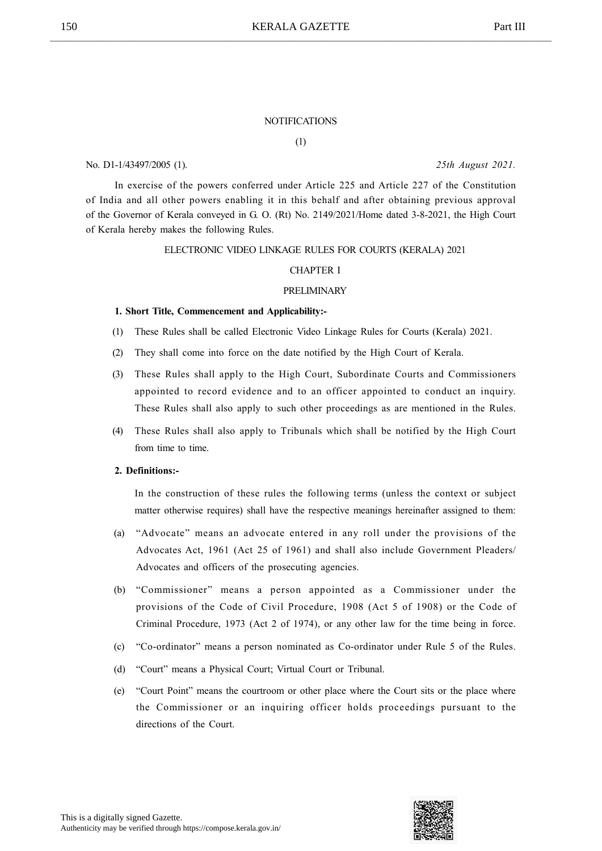#### **NOTIFICATIONS**

(1)

No. D1-1/43497/2005 (1). 25th August 2021.

In exercise of the powers conferred under Article 225 and Article 227 of the Constitution of India and all other powers enabling it in this behalf and after obtaining previous approval of the Governor of Kerala conveyed in G. O. (Rt) No. 2149/2021/Home dated 3-8-2021, the High Court of Kerala hereby makes the following Rules.

#### ELECTRONIC VIDEO LINKAGE RULES FOR COURTS (KERALA) 2021

### CHAPTER I

#### PRELIMINARY

#### 1. Short Title, Commencement and Applicability:-

- (1) These Rules shall be called Electronic Video Linkage Rules for Courts (Kerala) 2021.
- (2) They shall come into force on the date notified by the High Court of Kerala.
- (3) These Rules shall apply to the High Court, Subordinate Courts and Commissioners appointed to record evidence and to an officer appointed to conduct an inquiry. These Rules shall also apply to such other proceedings as are mentioned in the Rules.
- (4) These Rules shall also apply to Tribunals which shall be notified by the High Court from time to time.

#### 2. Definitions:-

In the construction of these rules the following terms (unless the context or subject matter otherwise requires) shall have the respective meanings hereinafter assigned to them:

- (a) "Advocate" means an advocate entered in any roll under the provisions of the Advocates Act, 1961 (Act 25 of 1961) and shall also include Government Pleaders/ Advocates and officers of the prosecuting agencies.
- (b) "Commissioner" means a person appointed as a Commissioner under the provisions of the Code of Civil Procedure, 1908 (Act 5 of 1908) or the Code of Criminal Procedure, 1973 (Act 2 of 1974), or any other law for the time being in force.
- (c) "Co-ordinator" means a person nominated as Co-ordinator under Rule 5 of the Rules.
- (d) "Court" means a Physical Court; Virtual Court or Tribunal.
- (e) "Court Point" means the courtroom or other place where the Court sits or the place where the Commissioner or an inquiring officer holds proceedings pursuant to the directions of the Court.

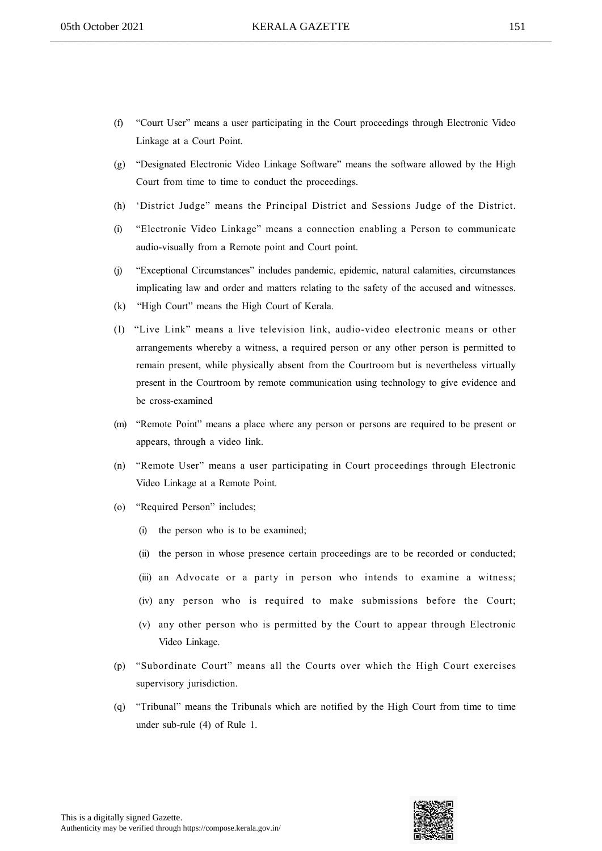- (f) "Court User" means a user participating in the Court proceedings through Electronic Video Linkage at a Court Point.
- (g) "Designated Electronic Video Linkage Software" means the software allowed by the High Court from time to time to conduct the proceedings.
- (h) 'District Judge" means the Principal District and Sessions Judge of the District.
- (i) "Electronic Video Linkage" means a connection enabling a Person to communicate audio-visually from a Remote point and Court point.
- (j) "Exceptional Circumstances" includes pandemic, epidemic, natural calamities, circumstances implicating law and order and matters relating to the safety of the accused and witnesses.
- (k) "High Court" means the High Court of Kerala.
- (l) "Live Link" means a live television link, audio-video electronic means or other arrangements whereby a witness, a required person or any other person is permitted to remain present, while physically absent from the Courtroom but is nevertheless virtually present in the Courtroom by remote communication using technology to give evidence and be cross-examined
- (m) "Remote Point" means a place where any person or persons are required to be present or appears, through a video link.
- (n) "Remote User" means a user participating in Court proceedings through Electronic Video Linkage at a Remote Point.
- (o) "Required Person" includes;
	- (i) the person who is to be examined;
	- (ii) the person in whose presence certain proceedings are to be recorded or conducted;
	- (iii) an Advocate or a party in person who intends to examine a witness;
	- (iv) any person who is required to make submissions before the Court;
	- (v) any other person who is permitted by the Court to appear through Electronic Video Linkage.
- (p) "Subordinate Court" means all the Courts over which the High Court exercises supervisory jurisdiction.
- (q) "Tribunal" means the Tribunals which are notified by the High Court from time to time under sub-rule (4) of Rule 1.

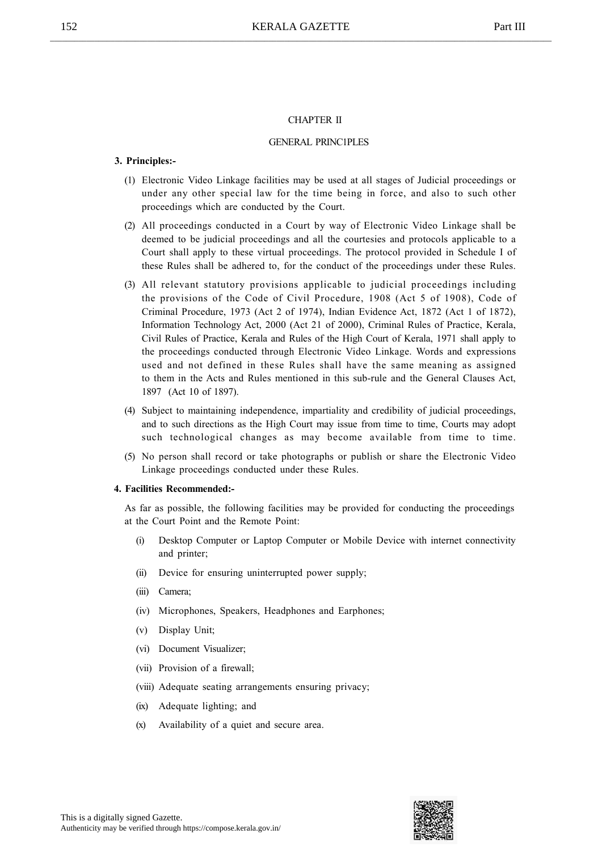#### CHAPTER II

#### GENERAL PRINC1PLES

#### 3. Principles:-

- (1) Electronic Video Linkage facilities may be used at all stages of Judicial proceedings or under any other special law for the time being in force, and also to such other proceedings which are conducted by the Court.
- (2) All proceedings conducted in a Court by way of Electronic Video Linkage shall be deemed to be judicial proceedings and all the courtesies and protocols applicable to a Court shall apply to these virtual proceedings. The protocol provided in Schedule I of these Rules shall be adhered to, for the conduct of the proceedings under these Rules.
- (3) All relevant statutory provisions applicable to judicial proceedings including the provisions of the Code of Civil Procedure, 1908 (Act 5 of 1908), Code of Criminal Procedure, 1973 (Act 2 of 1974), Indian Evidence Act, 1872 (Act 1 of 1872), Information Technology Act, 2000 (Act 21 of 2000), Criminal Rules of Practice, Kerala, Civil Rules of Practice, Kerala and Rules of the High Court of Kerala, 1971 shall apply to the proceedings conducted through Electronic Video Linkage. Words and expressions used and not defined in these Rules shall have the same meaning as assigned to them in the Acts and Rules mentioned in this sub-rule and the General Clauses Act, 1897 (Act 10 of 1897).
- (4) Subject to maintaining independence, impartiality and credibility of judicial proceedings, and to such directions as the High Court may issue from time to time, Courts may adopt such technological changes as may become available from time to time.
- (5) No person shall record or take photographs or publish or share the Electronic Video Linkage proceedings conducted under these Rules.

#### 4. Facilities Recommended:-

As far as possible, the following facilities may be provided for conducting the proceedings at the Court Point and the Remote Point:

- (i) Desktop Computer or Laptop Computer or Mobile Device with internet connectivity and printer;
- (ii) Device for ensuring uninterrupted power supply;
- (iii) Camera;
- (iv) Microphones, Speakers, Headphones and Earphones;
- (v) Display Unit;
- (vi) Document Visualizer;
- (vii) Provision of a firewall;
- (viii) Adequate seating arrangements ensuring privacy;
- (ix) Adequate lighting; and
- (x) Availability of a quiet and secure area.

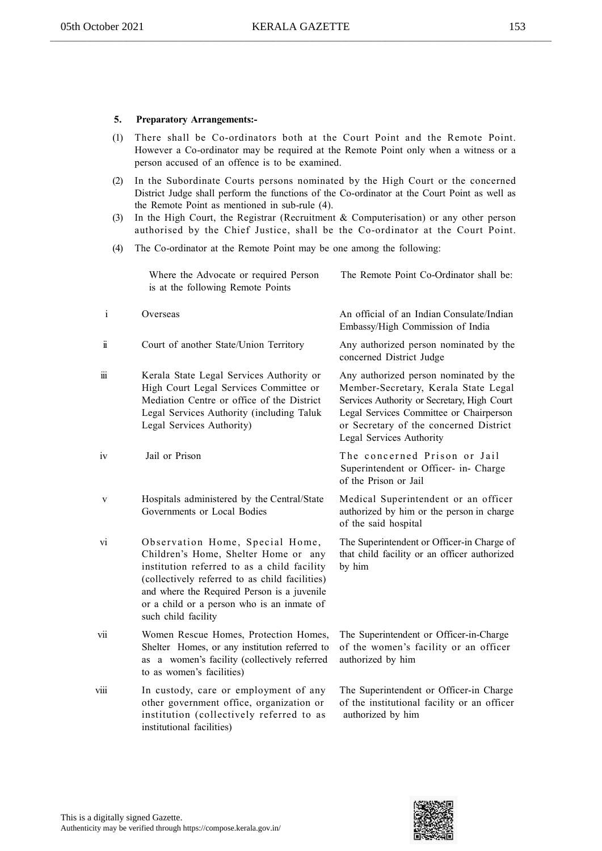### 5. Preparatory Arrangements:-

- (1) There shall be Co-ordinators both at the Court Point and the Remote Point. However a Co-ordinator may be required at the Remote Point only when a witness or a person accused of an offence is to be examined.
- (2) In the Subordinate Courts persons nominated by the High Court or the concerned District Judge shall perform the functions of the Co-ordinator at the Court Point as well as the Remote Point as mentioned in sub-rule (4).
- (3) In the High Court, the Registrar (Recruitment & Computerisation) or any other person authorised by the Chief Justice, shall be the Co-ordinator at the Court Point.
- (4) The Co-ordinator at the Remote Point may be one among the following:

Where the Advocate or required Person The Remote Point Co-Ordinator shall be: is at the following Remote Points

- i Overseas **An official of an Indian Consulate/Indian** Embassy/High Commission of India ii Court of another State/Union Territory Any authorized person nominated by the concerned District Judge iii Kerala State Legal Services Authority or Any authorized person nominated by the High Court Legal Services Committee or Member-Secretary, Kerala State Legal Mediation Centre or office of the District Services Authority or Secretary, High Court Legal Services Authority (including Taluk Legal Services Committee or Chairperson Legal Services Authority) or Secretary of the concerned District Legal Services Authority iv Jail or Prison The concerned Prison or Jail Superintendent or Officer- in- Charge of the Prison or Jail v Hospitals administered by the Central/State Medical Superintendent or an officer Governments or Local Bodies authorized by him or the person in charge of the said hospital vi Observation Home, Special Home, The Superintendent or Officer-in Charge of Children's Home, Shelter Home or any that child facility or an officer authorized institution referred to as a child facility by him (collectively referred to as child facilities) and where the Required Person is a juvenile or a child or a person who is an inmate of such child facility vii Women Rescue Homes, Protection Homes, The Superintendent or Officer-in-Charge Shelter Homes, or any institution referred to of the women's facility or an officer as a women's facility (collectively referred authorized by him to as women's facilities)
- viii In custody, care or employment of any The Superintendent or Officer-in Charge other government office, organization or of the institutional facility or an officer institution (collectively referred to as authorized by him institutional facilities)

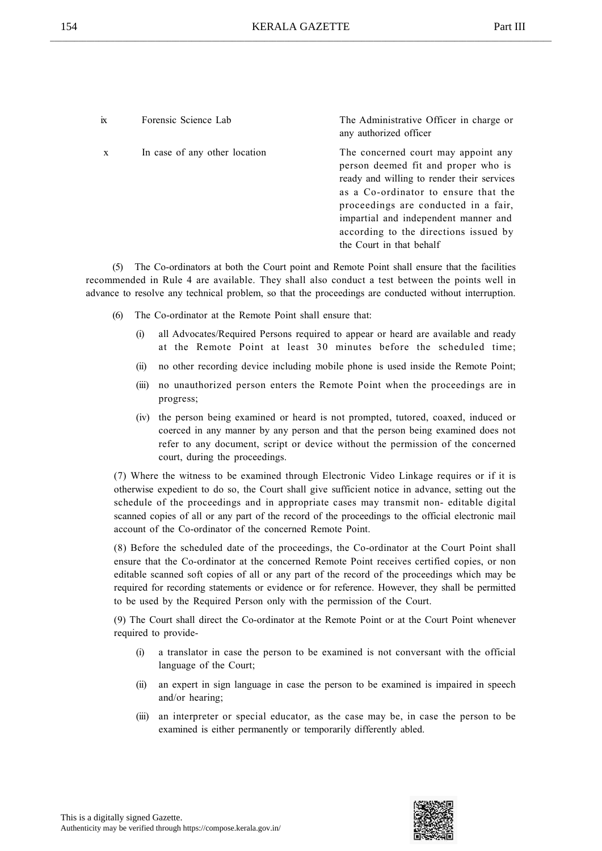ix Forensic Science Lab The Administrative Officer in charge or any authorized officer x In case of any other location The concerned court may appoint any person deemed fit and proper who is ready and willing to render their services as a Co-ordinator to ensure that the proceedings are conducted in a fair, impartial and independent manner and according to the directions issued by the Court in that behalf

(5) The Co-ordinators at both the Court point and Remote Point shall ensure that the facilities recommended in Rule 4 are available. They shall also conduct a test between the points well in advance to resolve any technical problem, so that the proceedings are conducted without interruption.

- (6) The Co-ordinator at the Remote Point shall ensure that:
	- (i) all Advocates/Required Persons required to appear or heard are available and ready at the Remote Point at least 30 minutes before the scheduled time;
	- (ii) no other recording device including mobile phone is used inside the Remote Point;
	- (iii) no unauthorized person enters the Remote Point when the proceedings are in progress;
	- (iv) the person being examined or heard is not prompted, tutored, coaxed, induced or coerced in any manner by any person and that the person being examined does not refer to any document, script or device without the permission of the concerned court, during the proceedings.

(7) Where the witness to be examined through Electronic Video Linkage requires or if it is otherwise expedient to do so, the Court shall give sufficient notice in advance, setting out the schedule of the proceedings and in appropriate cases may transmit non- editable digital scanned copies of all or any part of the record of the proceedings to the official electronic mail account of the Co-ordinator of the concerned Remote Point.

(8) Before the scheduled date of the proceedings, the Co-ordinator at the Court Point shall ensure that the Co-ordinator at the concerned Remote Point receives certified copies, or non editable scanned soft copies of all or any part of the record of the proceedings which may be required for recording statements or evidence or for reference. However, they shall be permitted to be used by the Required Person only with the permission of the Court.

(9) The Court shall direct the Co-ordinator at the Remote Point or at the Court Point whenever required to provide-

- (i) a translator in case the person to be examined is not conversant with the official language of the Court;
- (ii) an expert in sign language in case the person to be examined is impaired in speech and/or hearing;
- (iii) an interpreter or special educator, as the case may be, in case the person to be examined is either permanently or temporarily differently abled.

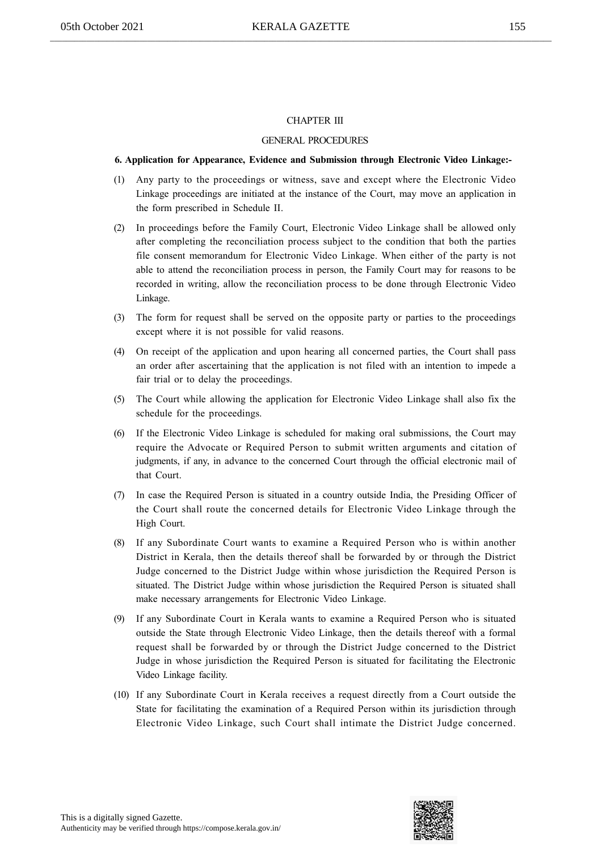#### CHAPTER III

#### GENERAL PROCEDURES

#### 6. Application for Appearance, Evidence and Submission through Electronic Video Linkage:-

- (1) Any party to the proceedings or witness, save and except where the Electronic Video Linkage proceedings are initiated at the instance of the Court, may move an application in the form prescribed in Schedule II.
- (2) In proceedings before the Family Court, Electronic Video Linkage shall be allowed only after completing the reconciliation process subject to the condition that both the parties file consent memorandum for Electronic Video Linkage. When either of the party is not able to attend the reconciliation process in person, the Family Court may for reasons to be recorded in writing, allow the reconciliation process to be done through Electronic Video Linkage.
- (3) The form for request shall be served on the opposite party or parties to the proceedings except where it is not possible for valid reasons.
- (4) On receipt of the application and upon hearing all concerned parties, the Court shall pass an order after ascertaining that the application is not filed with an intention to impede a fair trial or to delay the proceedings.
- (5) The Court while allowing the application for Electronic Video Linkage shall also fix the schedule for the proceedings.
- (6) If the Electronic Video Linkage is scheduled for making oral submissions, the Court may require the Advocate or Required Person to submit written arguments and citation of judgments, if any, in advance to the concerned Court through the official electronic mail of that Court.
- (7) In case the Required Person is situated in a country outside India, the Presiding Officer of the Court shall route the concerned details for Electronic Video Linkage through the High Court.
- (8) If any Subordinate Court wants to examine a Required Person who is within another District in Kerala, then the details thereof shall be forwarded by or through the District Judge concerned to the District Judge within whose jurisdiction the Required Person is situated. The District Judge within whose jurisdiction the Required Person is situated shall make necessary arrangements for Electronic Video Linkage.
- (9) If any Subordinate Court in Kerala wants to examine a Required Person who is situated outside the State through Electronic Video Linkage, then the details thereof with a formal request shall be forwarded by or through the District Judge concerned to the District Judge in whose jurisdiction the Required Person is situated for facilitating the Electronic Video Linkage facility.
- (10) If any Subordinate Court in Kerala receives a request directly from a Court outside the State for facilitating the examination of a Required Person within its jurisdiction through Electronic Video Linkage, such Court shall intimate the District Judge concerned.

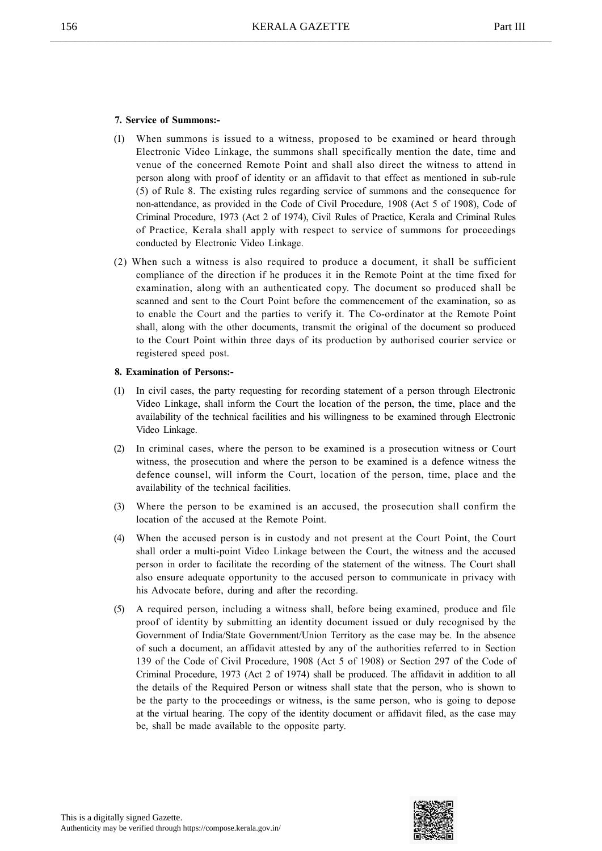#### 7. Service of Summons:-

- (1) When summons is issued to a witness, proposed to be examined or heard through Electronic Video Linkage, the summons shall specifically mention the date, time and venue of the concerned Remote Point and shall also direct the witness to attend in person along with proof of identity or an affidavit to that effect as mentioned in sub-rule (5) of Rule 8. The existing rules regarding service of summons and the consequence for non-attendance, as provided in the Code of Civil Procedure, 1908 (Act 5 of 1908), Code of Criminal Procedure, 1973 (Act 2 of 1974), Civil Rules of Practice, Kerala and Criminal Rules of Practice, Kerala shall apply with respect to service of summons for proceedings conducted by Electronic Video Linkage.
- (2) When such a witness is also required to produce a document, it shall be sufficient compliance of the direction if he produces it in the Remote Point at the time fixed for examination, along with an authenticated copy. The document so produced shall be scanned and sent to the Court Point before the commencement of the examination, so as to enable the Court and the parties to verify it. The Co-ordinator at the Remote Point shall, along with the other documents, transmit the original of the document so produced to the Court Point within three days of its production by authorised courier service or registered speed post.

#### 8. Examination of Persons:-

- In civil cases, the party requesting for recording statement of a person through Electronic Video Linkage, shall inform the Court the location of the person, the time, place and the availability of the technical facilities and his willingness to be examined through Electronic Video Linkage.
- (2) In criminal cases, where the person to be examined is a prosecution witness or Court witness, the prosecution and where the person to be examined is a defence witness the defence counsel, will inform the Court, location of the person, time, place and the availability of the technical facilities.
- (3) Where the person to be examined is an accused, the prosecution shall confirm the location of the accused at the Remote Point.
- (4) When the accused person is in custody and not present at the Court Point, the Court shall order a multi-point Video Linkage between the Court, the witness and the accused person in order to facilitate the recording of the statement of the witness. The Court shall also ensure adequate opportunity to the accused person to communicate in privacy with his Advocate before, during and after the recording.
- (5) A required person, including a witness shall, before being examined, produce and file proof of identity by submitting an identity document issued or duly recognised by the Government of India/State Government/Union Territory as the case may be. In the absence of such a document, an affidavit attested by any of the authorities referred to in Section 139 of the Code of Civil Procedure, 1908 (Act 5 of 1908) or Section 297 of the Code of Criminal Procedure, 1973 (Act 2 of 1974) shall be produced. The affidavit in addition to all the details of the Required Person or witness shall state that the person, who is shown to be the party to the proceedings or witness, is the same person, who is going to depose at the virtual hearing. The copy of the identity document or affidavit filed, as the case may be, shall be made available to the opposite party.

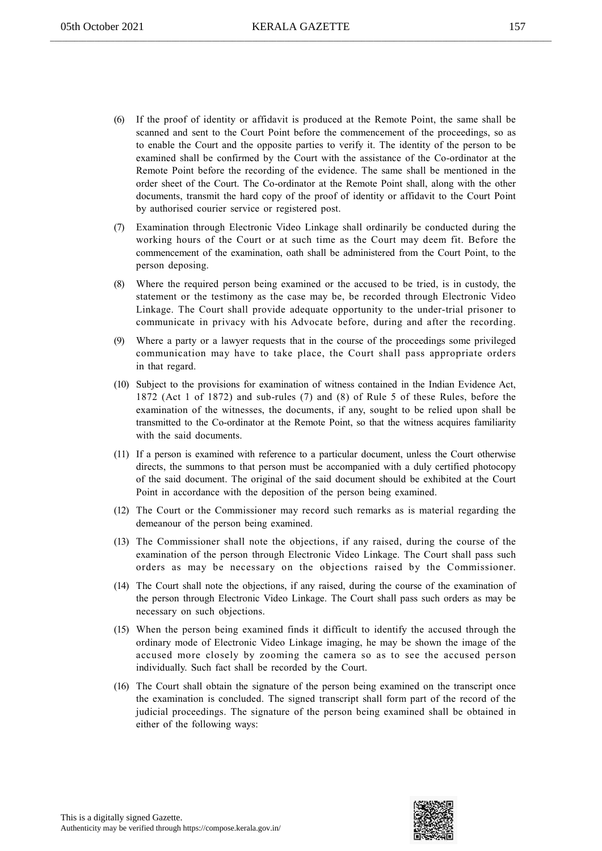- (6) If the proof of identity or affidavit is produced at the Remote Point, the same shall be scanned and sent to the Court Point before the commencement of the proceedings, so as to enable the Court and the opposite parties to verify it. The identity of the person to be examined shall be confirmed by the Court with the assistance of the Co-ordinator at the Remote Point before the recording of the evidence. The same shall be mentioned in the order sheet of the Court. The Co-ordinator at the Remote Point shall, along with the other documents, transmit the hard copy of the proof of identity or affidavit to the Court Point by authorised courier service or registered post.
- (7) Examination through Electronic Video Linkage shall ordinarily be conducted during the working hours of the Court or at such time as the Court may deem fit. Before the commencement of the examination, oath shall be administered from the Court Point, to the person deposing.
- (8) Where the required person being examined or the accused to be tried, is in custody, the statement or the testimony as the case may be, be recorded through Electronic Video Linkage. The Court shall provide adequate opportunity to the under-trial prisoner to communicate in privacy with his Advocate before, during and after the recording.
- (9) Where a party or a lawyer requests that in the course of the proceedings some privileged communication may have to take place, the Court shall pass appropriate orders in that regard.
- (10) Subject to the provisions for examination of witness contained in the Indian Evidence Act, 1872 (Act 1 of 1872) and sub-rules (7) and (8) of Rule 5 of these Rules, before the examination of the witnesses, the documents, if any, sought to be relied upon shall be transmitted to the Co-ordinator at the Remote Point, so that the witness acquires familiarity with the said documents.
- (11) If a person is examined with reference to a particular document, unless the Court otherwise directs, the summons to that person must be accompanied with a duly certified photocopy of the said document. The original of the said document should be exhibited at the Court Point in accordance with the deposition of the person being examined.
- (12) The Court or the Commissioner may record such remarks as is material regarding the demeanour of the person being examined.
- (13) The Commissioner shall note the objections, if any raised, during the course of the examination of the person through Electronic Video Linkage. The Court shall pass such orders as may be necessary on the objections raised by the Commissioner.
- (14) The Court shall note the objections, if any raised, during the course of the examination of the person through Electronic Video Linkage. The Court shall pass such orders as may be necessary on such objections.
- (15) When the person being examined finds it difficult to identify the accused through the ordinary mode of Electronic Video Linkage imaging, he may be shown the image of the accused more closely by zooming the camera so as to see the accused person individually. Such fact shall be recorded by the Court.
- (16) The Court shall obtain the signature of the person being examined on the transcript once the examination is concluded. The signed transcript shall form part of the record of the judicial proceedings. The signature of the person being examined shall be obtained in either of the following ways:

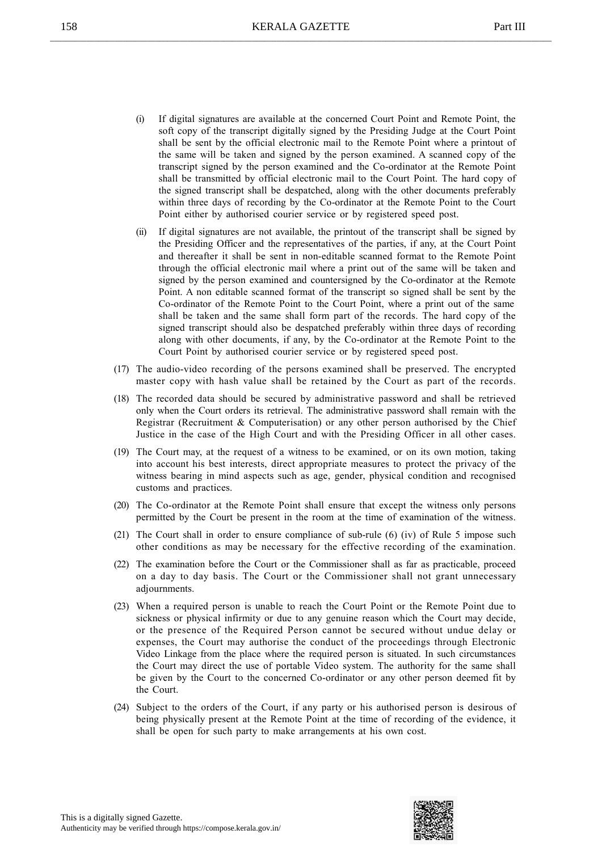- (i) If digital signatures are available at the concerned Court Point and Remote Point, the soft copy of the transcript digitally signed by the Presiding Judge at the Court Point shall be sent by the official electronic mail to the Remote Point where a printout of the same will be taken and signed by the person examined. A scanned copy of the transcript signed by the person examined and the Co-ordinator at the Remote Point shall be transmitted by official electronic mail to the Court Point. The hard copy of the signed transcript shall be despatched, along with the other documents preferably within three days of recording by the Co-ordinator at the Remote Point to the Court Point either by authorised courier service or by registered speed post.
- (ii) If digital signatures are not available, the printout of the transcript shall be signed by the Presiding Officer and the representatives of the parties, if any, at the Court Point and thereafter it shall be sent in non-editable scanned format to the Remote Point through the official electronic mail where a print out of the same will be taken and signed by the person examined and countersigned by the Co-ordinator at the Remote Point. A non editable scanned format of the transcript so signed shall be sent by the Co-ordinator of the Remote Point to the Court Point, where a print out of the same shall be taken and the same shall form part of the records. The hard copy of the signed transcript should also be despatched preferably within three days of recording along with other documents, if any, by the Co-ordinator at the Remote Point to the Court Point by authorised courier service or by registered speed post.
- (17) The audio-video recording of the persons examined shall be preserved. The encrypted master copy with hash value shall be retained by the Court as part of the records.
- (18) The recorded data should be secured by administrative password and shall be retrieved only when the Court orders its retrieval. The administrative password shall remain with the Registrar (Recruitment & Computerisation) or any other person authorised by the Chief Justice in the case of the High Court and with the Presiding Officer in all other cases.
- (19) The Court may, at the request of a witness to be examined, or on its own motion, taking into account his best interests, direct appropriate measures to protect the privacy of the witness bearing in mind aspects such as age, gender, physical condition and recognised customs and practices.
- (20) The Co-ordinator at the Remote Point shall ensure that except the witness only persons permitted by the Court be present in the room at the time of examination of the witness.
- (21) The Court shall in order to ensure compliance of sub-rule (6) (iv) of Rule 5 impose such other conditions as may be necessary for the effective recording of the examination.
- (22) The examination before the Court or the Commissioner shall as far as practicable, proceed on a day to day basis. The Court or the Commissioner shall not grant unnecessary adjournments.
- (23) When a required person is unable to reach the Court Point or the Remote Point due to sickness or physical infirmity or due to any genuine reason which the Court may decide, or the presence of the Required Person cannot be secured without undue delay or expenses, the Court may authorise the conduct of the proceedings through Electronic Video Linkage from the place where the required person is situated. In such circumstances the Court may direct the use of portable Video system. The authority for the same shall be given by the Court to the concerned Co-ordinator or any other person deemed fit by the Court.
- (24) Subject to the orders of the Court, if any party or his authorised person is desirous of being physically present at the Remote Point at the time of recording of the evidence, it shall be open for such party to make arrangements at his own cost.

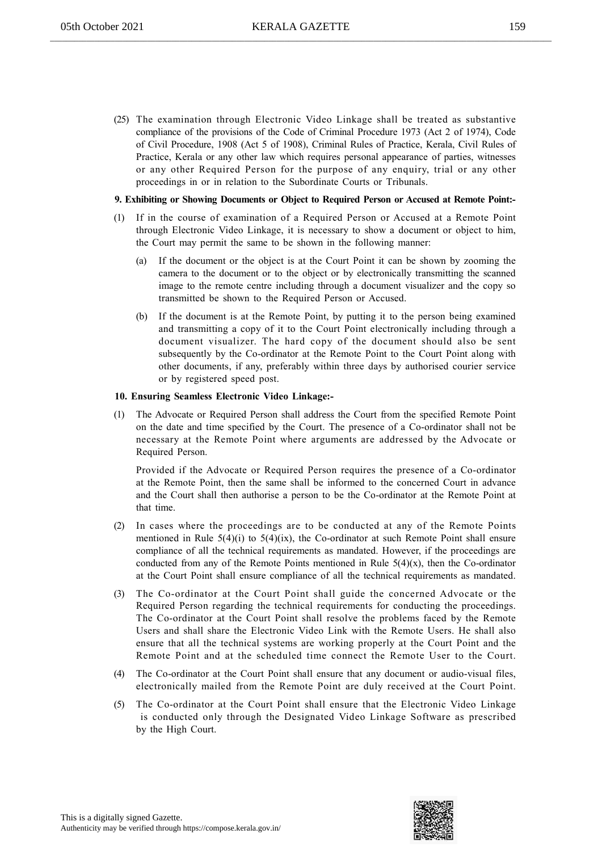(25) The examination through Electronic Video Linkage shall be treated as substantive compliance of the provisions of the Code of Criminal Procedure 1973 (Act 2 of 1974), Code of Civil Procedure, 1908 (Act 5 of 1908), Criminal Rules of Practice, Kerala, Civil Rules of Practice, Kerala or any other law which requires personal appearance of parties, witnesses or any other Required Person for the purpose of any enquiry, trial or any other proceedings in or in relation to the Subordinate Courts or Tribunals.

#### 9. Exhibiting or Showing Documents or Object to Required Person or Accused at Remote Point:-

- (1) If in the course of examination of a Required Person or Accused at a Remote Point through Electronic Video Linkage, it is necessary to show a document or object to him, the Court may permit the same to be shown in the following manner:
	- (a) If the document or the object is at the Court Point it can be shown by zooming the camera to the document or to the object or by electronically transmitting the scanned image to the remote centre including through a document visualizer and the copy so transmitted be shown to the Required Person or Accused.
	- (b) If the document is at the Remote Point, by putting it to the person being examined and transmitting a copy of it to the Court Point electronically including through a document visualizer. The hard copy of the document should also be sent subsequently by the Co-ordinator at the Remote Point to the Court Point along with other documents, if any, preferably within three days by authorised courier service or by registered speed post.

#### 10. Ensuring Seamless Electronic Video Linkage:-

(1) The Advocate or Required Person shall address the Court from the specified Remote Point on the date and time specified by the Court. The presence of a Co-ordinator shall not be necessary at the Remote Point where arguments are addressed by the Advocate or Required Person.

Provided if the Advocate or Required Person requires the presence of a Co-ordinator at the Remote Point, then the same shall be informed to the concerned Court in advance and the Court shall then authorise a person to be the Co-ordinator at the Remote Point at that time.

- (2) In cases where the proceedings are to be conducted at any of the Remote Points mentioned in Rule  $5(4)(i)$  to  $5(4)(ix)$ , the Co-ordinator at such Remote Point shall ensure compliance of all the technical requirements as mandated. However, if the proceedings are conducted from any of the Remote Points mentioned in Rule  $5(4)(x)$ , then the Co-ordinator at the Court Point shall ensure compliance of all the technical requirements as mandated.
- (3) The Co-ordinator at the Court Point shall guide the concerned Advocate or the Required Person regarding the technical requirements for conducting the proceedings. The Co-ordinator at the Court Point shall resolve the problems faced by the Remote Users and shall share the Electronic Video Link with the Remote Users. He shall also ensure that all the technical systems are working properly at the Court Point and the Remote Point and at the scheduled time connect the Remote User to the Court.
- (4) The Co-ordinator at the Court Point shall ensure that any document or audio-visual files, electronically mailed from the Remote Point are duly received at the Court Point.
- (5) The Co-ordinator at the Court Point shall ensure that the Electronic Video Linkage is conducted only through the Designated Video Linkage Software as prescribed by the High Court.

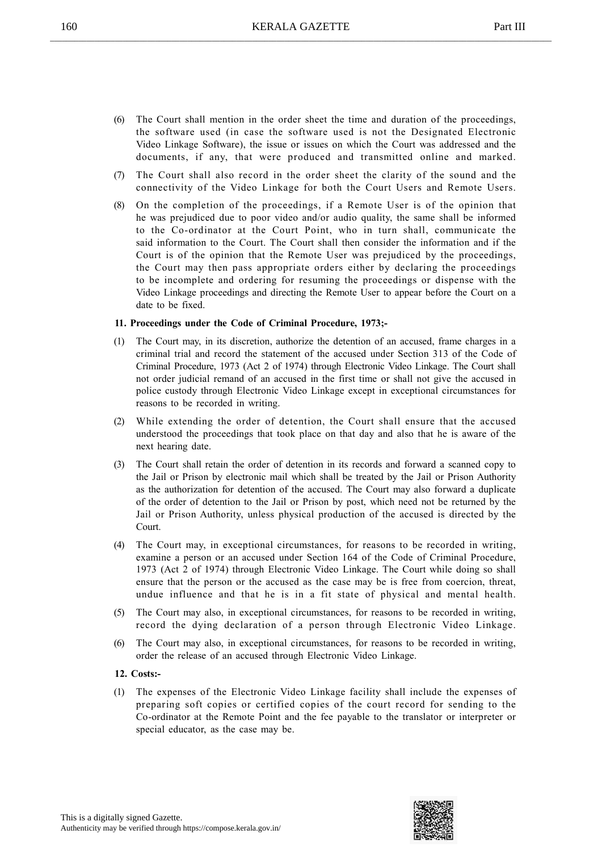- (6) The Court shall mention in the order sheet the time and duration of the proceedings, the software used (in case the software used is not the Designated Electronic Video Linkage Software), the issue or issues on which the Court was addressed and the documents, if any, that were produced and transmitted online and marked.
- (7) The Court shall also record in the order sheet the clarity of the sound and the connectivity of the Video Linkage for both the Court Users and Remote Users.
- (8) On the completion of the proceedings, if a Remote User is of the opinion that he was prejudiced due to poor video and/or audio quality, the same shall be informed to the Co-ordinator at the Court Point, who in turn shall, communicate the said information to the Court. The Court shall then consider the information and if the Court is of the opinion that the Remote User was prejudiced by the proceedings, the Court may then pass appropriate orders either by declaring the proceedings to be incomplete and ordering for resuming the proceedings or dispense with the Video Linkage proceedings and directing the Remote User to appear before the Court on a date to be fixed.

#### 11. Proceedings under the Code of Criminal Procedure, 1973;-

- (1) The Court may, in its discretion, authorize the detention of an accused, frame charges in a criminal trial and record the statement of the accused under Section 313 of the Code of Criminal Procedure, 1973 (Act 2 of 1974) through Electronic Video Linkage. The Court shall not order judicial remand of an accused in the first time or shall not give the accused in police custody through Electronic Video Linkage except in exceptional circumstances for reasons to be recorded in writing.
- (2) While extending the order of detention, the Court shall ensure that the accused understood the proceedings that took place on that day and also that he is aware of the next hearing date.
- (3) The Court shall retain the order of detention in its records and forward a scanned copy to the Jail or Prison by electronic mail which shall be treated by the Jail or Prison Authority as the authorization for detention of the accused. The Court may also forward a duplicate of the order of detention to the Jail or Prison by post, which need not be returned by the Jail or Prison Authority, unless physical production of the accused is directed by the Court.
- (4) The Court may, in exceptional circumstances, for reasons to be recorded in writing, examine a person or an accused under Section 164 of the Code of Criminal Procedure, 1973 (Act 2 of 1974) through Electronic Video Linkage. The Court while doing so shall ensure that the person or the accused as the case may be is free from coercion, threat, undue influence and that he is in a fit state of physical and mental health.
- (5) The Court may also, in exceptional circumstances, for reasons to be recorded in writing, record the dying declaration of a person through Electronic Video Linkage.
- (6) The Court may also, in exceptional circumstances, for reasons to be recorded in writing, order the release of an accused through Electronic Video Linkage.

#### 12. Costs:-

(1) The expenses of the Electronic Video Linkage facility shall include the expenses of preparing soft copies or certified copies of the court record for sending to the Co-ordinator at the Remote Point and the fee payable to the translator or interpreter or special educator, as the case may be.

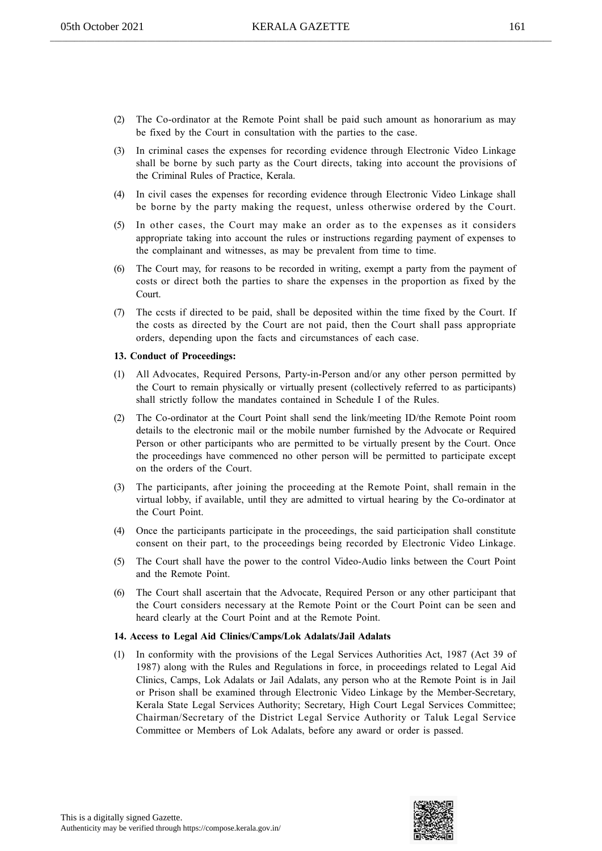- (2) The Co-ordinator at the Remote Point shall be paid such amount as honorarium as may be fixed by the Court in consultation with the parties to the case.
- (3) In criminal cases the expenses for recording evidence through Electronic Video Linkage shall be borne by such party as the Court directs, taking into account the provisions of the Criminal Rules of Practice, Kerala.
- (4) In civil cases the expenses for recording evidence through Electronic Video Linkage shall be borne by the party making the request, unless otherwise ordered by the Court.
- (5) In other cases, the Court may make an order as to the expenses as it considers appropriate taking into account the rules or instructions regarding payment of expenses to the complainant and witnesses, as may be prevalent from time to time.
- The Court may, for reasons to be recorded in writing, exempt a party from the payment of costs or direct both the parties to share the expenses in the proportion as fixed by the Court.
- (7) The ccsts if directed to be paid, shall be deposited within the time fixed by the Court. If the costs as directed by the Court are not paid, then the Court shall pass appropriate orders, depending upon the facts and circumstances of each case.

#### 13. Conduct of Proceedings:

- (1) All Advocates, Required Persons, Party-in-Person and/or any other person permitted by the Court to remain physically or virtually present (collectively referred to as participants) shall strictly follow the mandates contained in Schedule I of the Rules.
- (2) The Co-ordinator at the Court Point shall send the link/meeting ID/the Remote Point room details to the electronic mail or the mobile number furnished by the Advocate or Required Person or other participants who are permitted to be virtually present by the Court. Once the proceedings have commenced no other person will be permitted to participate except on the orders of the Court.
- (3) The participants, after joining the proceeding at the Remote Point, shall remain in the virtual lobby, if available, until they are admitted to virtual hearing by the Co-ordinator at the Court Point.
- (4) Once the participants participate in the proceedings, the said participation shall constitute consent on their part, to the proceedings being recorded by Electronic Video Linkage.
- (5) The Court shall have the power to the control Video-Audio links between the Court Point and the Remote Point.
- (6) The Court shall ascertain that the Advocate, Required Person or any other participant that the Court considers necessary at the Remote Point or the Court Point can be seen and heard clearly at the Court Point and at the Remote Point.

#### 14. Access to Legal Aid Clinics/Camps/Lok Adalats/Jail Adalats

In conformity with the provisions of the Legal Services Authorities Act, 1987 (Act 39 of 1987) along with the Rules and Regulations in force, in proceedings related to Legal Aid Clinics, Camps, Lok Adalats or Jail Adalats, any person who at the Remote Point is in Jail or Prison shall be examined through Electronic Video Linkage by the Member-Secretary, Kerala State Legal Services Authority; Secretary, High Court Legal Services Committee; Chairman/Secretary of the District Legal Service Authority or Taluk Legal Service Committee or Members of Lok Adalats, before any award or order is passed.

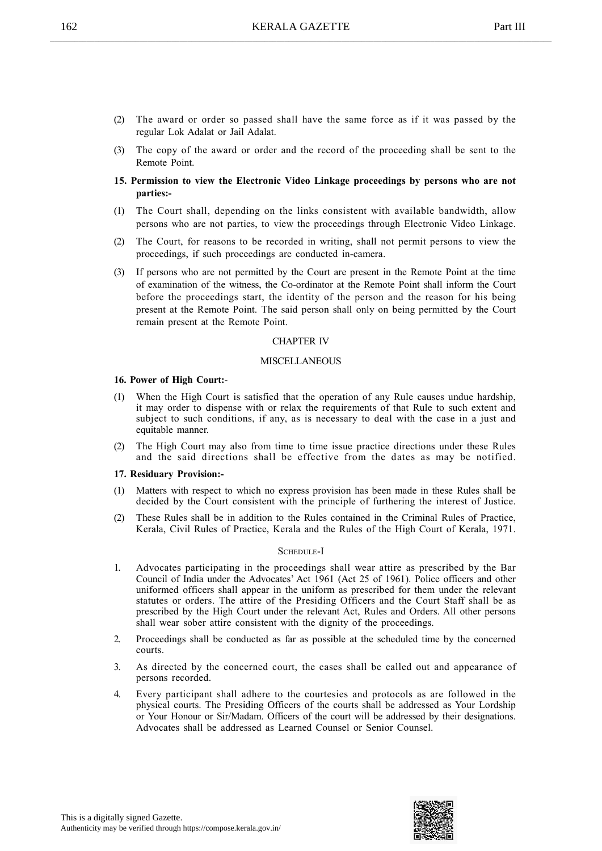- (2) The award or order so passed shall have the same force as if it was passed by the regular Lok Adalat or Jail Adalat.
- (3) The copy of the award or order and the record of the proceeding shall be sent to the Remote Point.
- 15. Permission to view the Electronic Video Linkage proceedings by persons who are not parties:-
- (1) The Court shall, depending on the links consistent with available bandwidth, allow persons who are not parties, to view the proceedings through Electronic Video Linkage.
- (2) The Court, for reasons to be recorded in writing, shall not permit persons to view the proceedings, if such proceedings are conducted in-camera.
- (3) If persons who are not permitted by the Court are present in the Remote Point at the time of examination of the witness, the Co-ordinator at the Remote Point shall inform the Court before the proceedings start, the identity of the person and the reason for his being present at the Remote Point. The said person shall only on being permitted by the Court remain present at the Remote Point.

#### CHAPTER IV

#### **MISCELLANEOUS**

#### 16. Power of High Court:-

- (1) When the High Court is satisfied that the operation of any Rule causes undue hardship, it may order to dispense with or relax the requirements of that Rule to such extent and subject to such conditions, if any, as is necessary to deal with the case in a just and equitable manner.
- (2) The High Court may also from time to time issue practice directions under these Rules and the said directions shall be effective from the dates as may be notified.

#### 17. Residuary Provision:-

- (1) Matters with respect to which no express provision has been made in these Rules shall be decided by the Court consistent with the principle of furthering the interest of Justice.
- (2) These Rules shall be in addition to the Rules contained in the Criminal Rules of Practice, Kerala, Civil Rules of Practice, Kerala and the Rules of the High Court of Kerala, 1971.

#### SCHEDULE-I

- 1. Advocates participating in the proceedings shall wear attire as prescribed by the Bar Council of India under the Advocates' Act 1961 (Act 25 of 1961). Police officers and other uniformed officers shall appear in the uniform as prescribed for them under the relevant statutes or orders. The attire of the Presiding Officers and the Court Staff shall be as prescribed by the High Court under the relevant Act, Rules and Orders. All other persons shall wear sober attire consistent with the dignity of the proceedings.
- 2. Proceedings shall be conducted as far as possible at the scheduled time by the concerned courts.
- 3. As directed by the concerned court, the cases shall be called out and appearance of persons recorded.
- 4. Every participant shall adhere to the courtesies and protocols as are followed in the physical courts. The Presiding Officers of the courts shall be addressed as Your Lordship or Your Honour or Sir/Madam. Officers of the court will be addressed by their designations. Advocates shall be addressed as Learned Counsel or Senior Counsel.

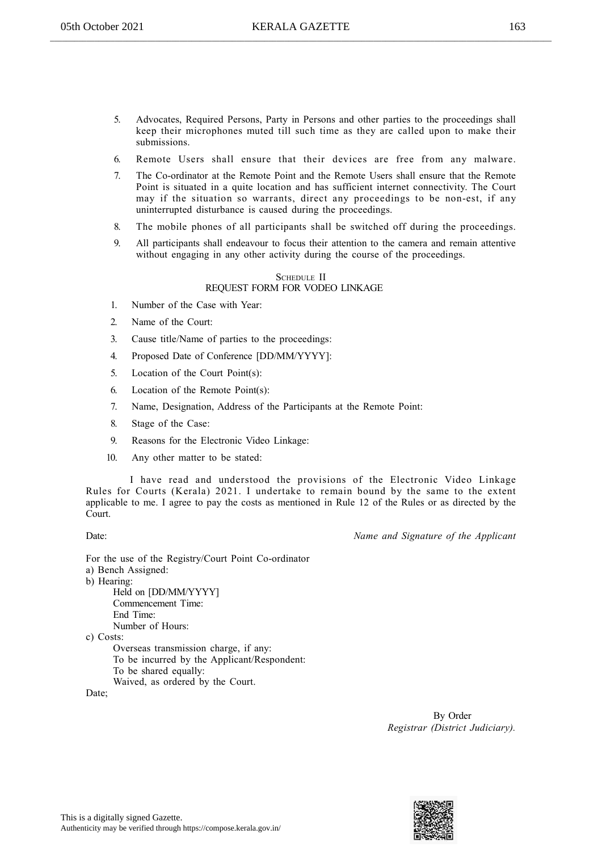- 5. Advocates, Required Persons, Party in Persons and other parties to the proceedings shall keep their microphones muted till such time as they are called upon to make their submissions.
- 6. Remote Users shall ensure that their devices are free from any malware.
- 7. The Co-ordinator at the Remote Point and the Remote Users shall ensure that the Remote Point is situated in a quite location and has sufficient internet connectivity. The Court may if the situation so warrants, direct any proceedings to be non-est, if any uninterrupted disturbance is caused during the proceedings.
- 8. The mobile phones of all participants shall be switched off during the proceedings.
- 9. All participants shall endeavour to focus their attention to the camera and remain attentive without engaging in any other activity during the course of the proceedings.

#### SCHEDULE II REQUEST FORM FOR VODEO LINKAGE

- 1. Number of the Case with Year:
- 2. Name of the Court:
- 3. Cause title/Name of parties to the proceedings:
- 4. Proposed Date of Conference [DD/MM/YYYY]:
- 5. Location of the Court Point(s):
- 6. Location of the Remote Point(s):
- 7. Name, Designation, Address of the Participants at the Remote Point:
- 8. Stage of the Case:
- 9. Reasons for the Electronic Video Linkage:
- 10. Any other matter to be stated:

I have read and understood the provisions of the Electronic Video Linkage Rules for Courts (Kerala) 2021. I undertake to remain bound by the same to the extent applicable to me. I agree to pay the costs as mentioned in Rule 12 of the Rules or as directed by the Court.

Date: Name and Signature of the Applicant

For the use of the Registry/Court Point Co-ordinator a) Bench Assigned: b) Hearing: Held on [DD/MM/YYYY] Commencement Time: End Time: Number of Hours: c) Costs: Overseas transmission charge, if any: To be incurred by the Applicant/Respondent: To be shared equally: Waived, as ordered by the Court.

Date;

By Order Registrar (District Judiciary).